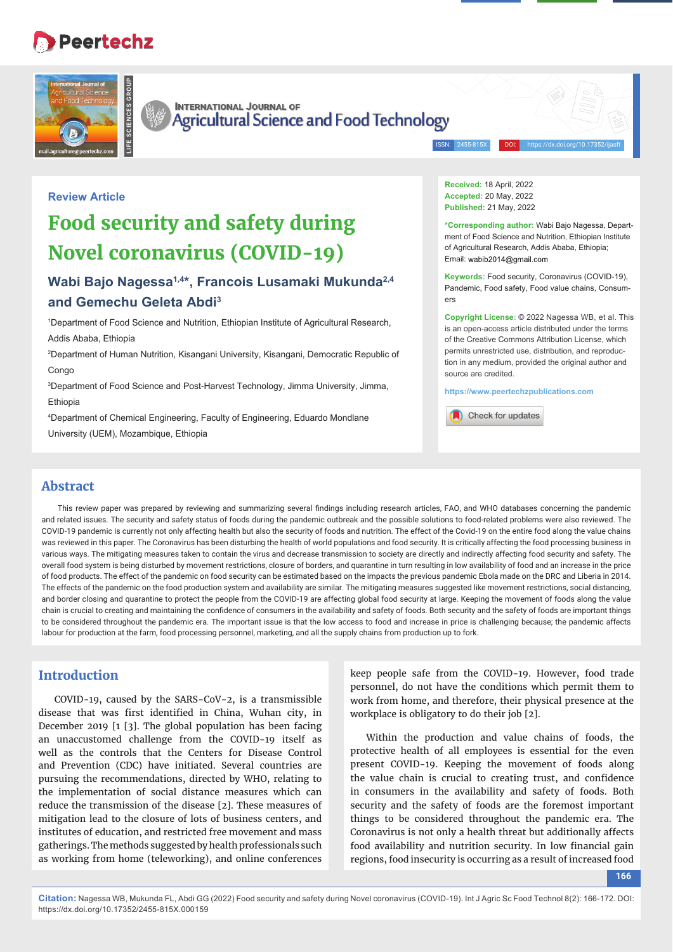# **Peertechz**





**INTERNATIONAL JOURNAL OF** Agricultural Science and Food Technology

ISSN: 2455-815X DOI: https://dx.doi.org/10.17352/ijasft

### **Review Article**

## **Food security and safety during Novel coronavirus (COVID-19)**

## **Wabi Bajo Nagessa1,4\*, Francois Lusamaki Mukunda2,4 and Gemechu Geleta Abdi3**

1 Department of Food Science and Nutrition, Ethiopian Institute of Agricultural Research, Addis Ababa, Ethiopia

2 Department of Human Nutrition, Kisangani University, Kisangani, Democratic Republic of **Congo** 

3 Department of Food Science and Post-Harvest Technology, Jimma University, Jimma, Ethiopia

4 Department of Chemical Engineering, Faculty of Engineering, Eduardo Mondlane

University (UEM), Mozambique, Ethiopia

**Received:** 18 April, 2022 **Accepted:** 20 May, 2022 **Published:** 21 May, 2022

**\*Corresponding author:** Wabi Bajo Nagessa, Department of Food Science and Nutrition, Ethiopian Institute of Agricultural Research, Addis Ababa, Ethiopia; Email: wabib2014@gmail.com

**Keywords:** Food security, Coronavirus (COVID-19), Pandemic, Food safety, Food value chains, Consumers

**Copyright License:** © 2022 Nagessa WB, et al. This is an open-access article distributed under the terms of the Creative Commons Attribution License, which permits unrestricted use, distribution, and reproduction in any medium, provided the original author and source are credited.

**https://www.peertechzpublications.com**



## **Abstract**

This review paper was prepared by reviewing and summarizing several findings including research articles, FAO, and WHO databases concerning the pandemic and related issues. The security and safety status of foods during the pandemic outbreak and the possible solutions to food-related problems were also reviewed. The COVID-19 pandemic is currently not only affecting health but also the security of foods and nutrition. The effect of the Covid-19 on the entire food along the value chains was reviewed in this paper. The Coronavirus has been disturbing the health of world populations and food security. It is critically affecting the food processing business in various ways. The mitigating measures taken to contain the virus and decrease transmission to society are directly and indirectly affecting food security and safety. The overall food system is being disturbed by movement restrictions, closure of borders, and quarantine in turn resulting in low availability of food and an increase in the price of food products. The effect of the pandemic on food security can be estimated based on the impacts the previous pandemic Ebola made on the DRC and Liberia in 2014. The effects of the pandemic on the food production system and availability are similar. The mitigating measures suggested like movement restrictions, social distancing, and border closing and quarantine to protect the people from the COVID-19 are affecting global food security at large. Keeping the movement of foods along the value chain is crucial to creating and maintaining the confidence of consumers in the availability and safety of foods. Both security and the safety of foods are important things to be considered throughout the pandemic era. The important issue is that the low access to food and increase in price is challenging because; the pandemic affects labour for production at the farm, food processing personnel, marketing, and all the supply chains from production up to fork.

## **Introduction**

COVID-19, caused by the SARS-CoV-2, is a transmissible disease that was first identified in China, Wuhan city, in December 2019 [1 [3]. The global population has been facing an unaccustomed challenge from the COVID-19 itself as well as the controls that the Centers for Disease Control and Prevention (CDC) have initiated. Several countries are pursuing the recommendations, directed by WHO, relating to the implementation of social distance measures which can reduce the transmission of the disease [2]. These measures of mitigation lead to the closure of lots of business centers, and institutes of education, and restricted free movement and mass gatherings. The methods suggested by health professionals such as working from home (teleworking), and online conferences

keep people safe from the COVID-19. However, food trade personnel, do not have the conditions which permit them to work from home, and therefore, their physical presence at the workplace is obligatory to do their job [2].

Within the production and value chains of foods, the protective health of all employees is essential for the even present COVID-19. Keeping the movement of foods along the value chain is crucial to creating trust, and confidence in consumers in the availability and safety of foods. Both security and the safety of foods are the foremost important things to be considered throughout the pandemic era. The Coronavirus is not only a health threat but additionally affects food availability and nutrition security. In low financial gain regions, food insecurity is occurring as a result of increased food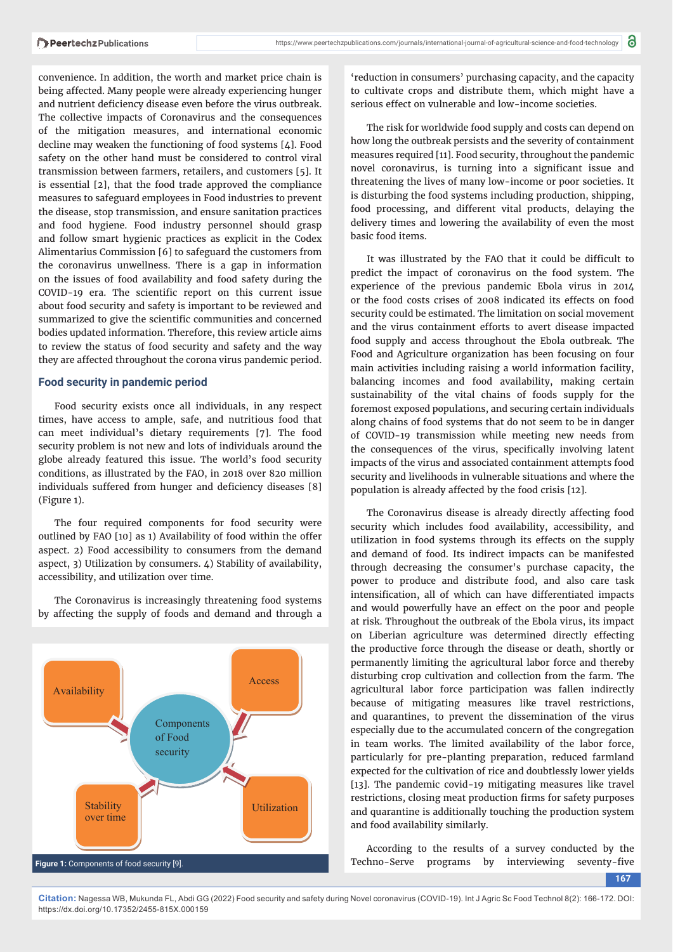convenience. In addition, the worth and market price chain is being affected. Many people were already experiencing hunger and nutrient deficiency disease even before the virus outbreak. The collective impacts of Coronavirus and the consequences of the mitigation measures, and international economic decline may weaken the functioning of food systems [4]. Food safety on the other hand must be considered to control viral transmission between farmers, retailers, and customers [5]. It is essential [2], that the food trade approved the compliance measures to safeguard employees in Food industries to prevent the disease, stop transmission, and ensure sanitation practices and food hygiene. Food industry personnel should grasp and follow smart hygienic practices as explicit in the Codex Alimentarius Commission [6] to safeguard the customers from the coronavirus unwellness. There is a gap in information on the issues of food availability and food safety during the COVID-19 era. The scientific report on this current issue about food security and safety is important to be reviewed and summarized to give the scientific communities and concerned bodies updated information. Therefore, this review article aims to review the status of food security and safety and the way they are affected throughout the corona virus pandemic period.

#### **Food security in pandemic period**

Food security exists once all individuals, in any respect times, have access to ample, safe, and nutritious food that can meet individual's dietary requirements [7]. The food security problem is not new and lots of individuals around the globe already featured this issue. The world's food security conditions, as illustrated by the FAO, in 2018 over 820 million individuals suffered from hunger and deficiency diseases [8] (Figure 1).

The four required components for food security were outlined by FAO [10] as 1) Availability of food within the offer aspect. 2) Food accessibility to consumers from the demand aspect, 3) Utilization by consumers.  $\angle$ ) Stability of availability, accessibility, and utilization over time.

The Coronavirus is increasingly threatening food systems by affecting the supply of foods and demand and through a



'reduction in consumers' purchasing capacity, and the capacity to cultivate crops and distribute them, which might have a serious effect on vulnerable and low-income societies.

The risk for worldwide food supply and costs can depend on how long the outbreak persists and the severity of containment measures required [11]. Food security, throughout the pandemic novel coronavirus, is turning into a significant issue and threatening the lives of many low-income or poor societies. It is disturbing the food systems including production, shipping, food processing, and different vital products, delaying the delivery times and lowering the availability of even the most basic food items.

It was illustrated by the FAO that it could be difficult to predict the impact of coronavirus on the food system. The experience of the previous pandemic Ebola virus in 2014 or the food costs crises of 2008 indicated its effects on food security could be estimated. The limitation on social movement and the virus containment efforts to avert disease impacted food supply and access throughout the Ebola outbreak. The Food and Agriculture organization has been focusing on four main activities including raising a world information facility, balancing incomes and food availability, making certain sustainability of the vital chains of foods supply for the foremost exposed populations, and securing certain individuals along chains of food systems that do not seem to be in danger of COVID-19 transmission while meeting new needs from the consequences of the virus, specifically involving latent impacts of the virus and associated containment attempts food security and livelihoods in vulnerable situations and where the population is already affected by the food crisis [12].

The Coronavirus disease is already directly affecting food security which includes food availability, accessibility, and utilization in food systems through its effects on the supply and demand of food. Its indirect impacts can be manifested through decreasing the consumer's purchase capacity, the power to produce and distribute food, and also care task intensification, all of which can have differentiated impacts and would powerfully have an effect on the poor and people at risk. Throughout the outbreak of the Ebola virus, its impact on Liberian agriculture was determined directly effecting the productive force through the disease or death, shortly or permanently limiting the agricultural labor force and thereby disturbing crop cultivation and collection from the farm. The agricultural labor force participation was fallen indirectly because of mitigating measures like travel restrictions, and quarantines, to prevent the dissemination of the virus especially due to the accumulated concern of the congregation in team works. The limited availability of the labor force, particularly for pre-planting preparation, reduced farmland expected for the cultivation of rice and doubtlessly lower yields [13]. The pandemic covid-19 mitigating measures like travel restrictions, closing meat production firms for safety purposes and quarantine is additionally touching the production system and food availability similarly.

According to the results of a survey conducted by the Techno-Serve programs by interviewing seventy-five

**167**

**Citation:** Nagessa WB, Mukunda FL, Abdi GG (2022) Food security and safety during Novel coronavirus (COVID-19). Int J Agric Sc Food Technol 8(2): 166-172. DOI: https://dx.doi.org/10.17352/2455-815X.000159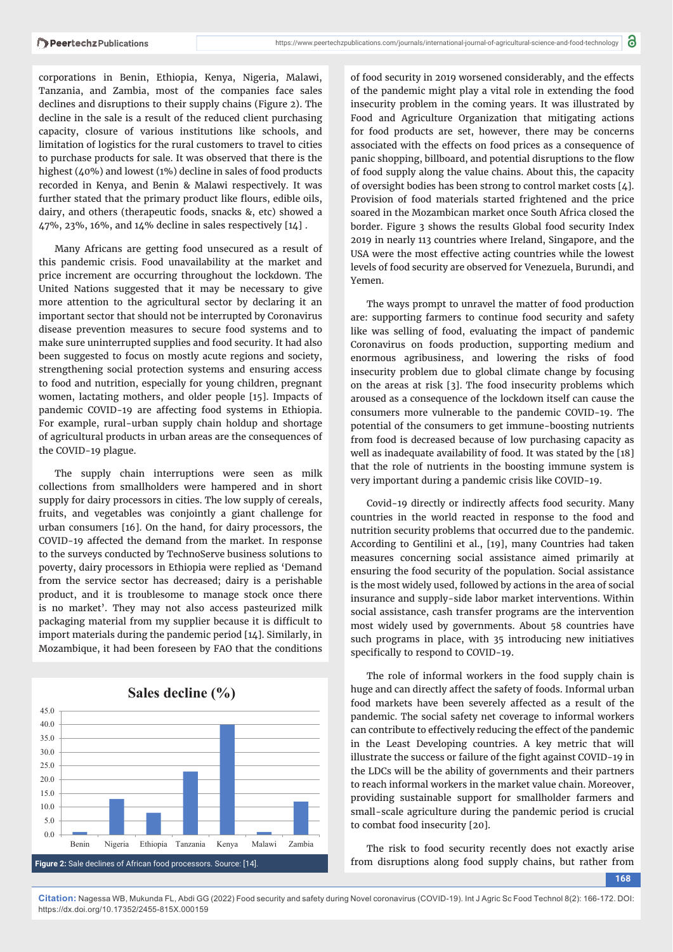corporations in Benin, Ethiopia, Kenya, Nigeria, Malawi, Tanzania, and Zambia, most of the companies face sales declines and disruptions to their supply chains (Figure 2). The decline in the sale is a result of the reduced client purchasing capacity, closure of various institutions like schools, and limitation of logistics for the rural customers to travel to cities to purchase products for sale. It was observed that there is the highest (40%) and lowest (1%) decline in sales of food products recorded in Kenya, and Benin & Malawi respectively. It was further stated that the primary product like flours, edible oils, dairy, and others (therapeutic foods, snacks &, etc) showed a 47%, 23%, 16%, and 14% decline in sales respectively [14] .

Many Africans are getting food unsecured as a result of this pandemic crisis. Food unavailability at the market and price increment are occurring throughout the lockdown. The United Nations suggested that it may be necessary to give more attention to the agricultural sector by declaring it an important sector that should not be interrupted by Coronavirus disease prevention measures to secure food systems and to make sure uninterrupted supplies and food security. It had also been suggested to focus on mostly acute regions and society, strengthening social protection systems and ensuring access to food and nutrition, especially for young children, pregnant women, lactating mothers, and older people [15]. Impacts of pandemic COVID-19 are affecting food systems in Ethiopia. For example, rural-urban supply chain holdup and shortage of agricultural products in urban areas are the consequences of the COVID-19 plague.

The supply chain interruptions were seen as milk collections from smallholders were hampered and in short supply for dairy processors in cities. The low supply of cereals, fruits, and vegetables was conjointly a giant challenge for urban consumers [16]. On the hand, for dairy processors, the COVID-19 affected the demand from the market. In response to the surveys conducted by TechnoServe business solutions to poverty, dairy processors in Ethiopia were replied as 'Demand from the service sector has decreased; dairy is a perishable product, and it is troublesome to manage stock once there is no market'. They may not also access pasteurized milk packaging material from my supplier because it is difficult to import materials during the pandemic period [14]. Similarly, in Mozambique, it had been foreseen by FAO that the conditions



of food security in 2019 worsened considerably, and the effects of the pandemic might play a vital role in extending the food insecurity problem in the coming years. It was illustrated by Food and Agriculture Organization that mitigating actions for food products are set, however, there may be concerns associated with the effects on food prices as a consequence of panic shopping, billboard, and potential disruptions to the flow of food supply along the value chains. About this, the capacity of oversight bodies has been strong to control market costs [4]. Provision of food materials started frightened and the price soared in the Mozambican market once South Africa closed the border. Figure 3 shows the results Global food security Index 2019 in nearly 113 countries where Ireland, Singapore, and the USA were the most effective acting countries while the lowest levels of food security are observed for Venezuela, Burundi, and Yemen.

The ways prompt to unravel the matter of food production are: supporting farmers to continue food security and safety like was selling of food, evaluating the impact of pandemic Coronavirus on foods production, supporting medium and enormous agribusiness, and lowering the risks of food insecurity problem due to global climate change by focusing on the areas at risk [3]. The food insecurity problems which aroused as a consequence of the lockdown itself can cause the consumers more vulnerable to the pandemic COVID-19. The potential of the consumers to get immune-boosting nutrients from food is decreased because of low purchasing capacity as well as inadequate availability of food. It was stated by the [18] that the role of nutrients in the boosting immune system is very important during a pandemic crisis like COVID-19.

Covid-19 directly or indirectly affects food security. Many countries in the world reacted in response to the food and nutrition security problems that occurred due to the pandemic. According to Gentilini et al., [19], many Countries had taken measures concerning social assistance aimed primarily at ensuring the food security of the population. Social assistance is the most widely used, followed by actions in the area of social insurance and supply-side labor market interventions. Within social assistance, cash transfer programs are the intervention most widely used by governments. About 58 countries have such programs in place, with 35 introducing new initiatives specifically to respond to COVID-19.

The role of informal workers in the food supply chain is huge and can directly affect the safety of foods. Informal urban food markets have been severely affected as a result of the pandemic. The social safety net coverage to informal workers can contribute to effectively reducing the effect of the pandemic in the Least Developing countries. A key metric that will illustrate the success or failure of the fight against COVID-19 in the LDCs will be the ability of governments and their partners to reach informal workers in the market value chain. Moreover, providing sustainable support for smallholder farmers and small-scale agriculture during the pandemic period is crucial to combat food insecurity [20].

The risk to food security recently does not exactly arise from disruptions along food supply chains, but rather from

**168**

**Citation:** Nagessa WB, Mukunda FL, Abdi GG (2022) Food security and safety during Novel coronavirus (COVID-19). Int J Agric Sc Food Technol 8(2): 166-172. DOI: https://dx.doi.org/10.17352/2455-815X.000159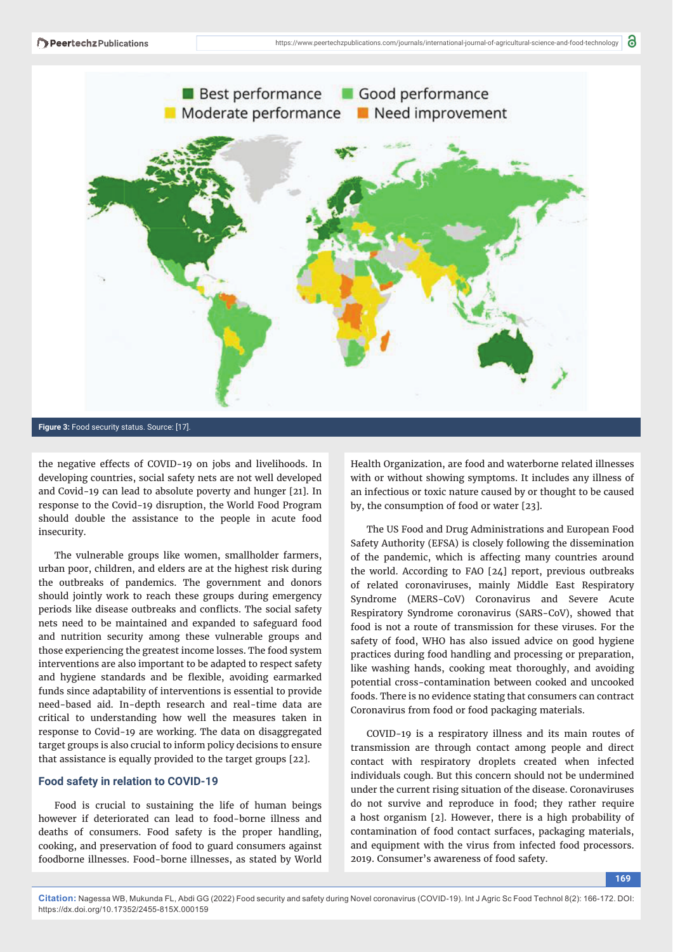

**Figure 3:** Food security status. Source: [17].

the negative effects of COVID-19 on jobs and livelihoods. In developing countries, social safety nets are not well developed and Covid-19 can lead to absolute poverty and hunger [21]. In response to the Covid-19 disruption, the World Food Program should double the assistance to the people in acute food insecurity.

The vulnerable groups like women, smallholder farmers, urban poor, children, and elders are at the highest risk during the outbreaks of pandemics. The government and donors should jointly work to reach these groups during emergency periods like disease outbreaks and conflicts. The social safety nets need to be maintained and expanded to safeguard food and nutrition security among these vulnerable groups and those experiencing the greatest income losses. The food system interventions are also important to be adapted to respect safety and hygiene standards and be flexible, avoiding earmarked funds since adaptability of interventions is essential to provide need-based aid. In-depth research and real-time data are critical to understanding how well the measures taken in response to Covid-19 are working. The data on disaggregated target groups is also crucial to inform policy decisions to ensure that assistance is equally provided to the target groups [22].

#### **Food safety in relation to COVID-19**

Food is crucial to sustaining the life of human beings however if deteriorated can lead to food-borne illness and deaths of consumers. Food safety is the proper handling, cooking, and preservation of food to guard consumers against foodborne illnesses. Food-borne illnesses, as stated by World

Health Organization, are food and waterborne related illnesses with or without showing symptoms. It includes any illness of an infectious or toxic nature caused by or thought to be caused by, the consumption of food or water [23].

The US Food and Drug Administrations and European Food Safety Authority (EFSA) is closely following the dissemination of the pandemic, which is affecting many countries around the world. According to FAO [24] report, previous outbreaks of related coronaviruses, mainly Middle East Respiratory Syndrome (MERS-CoV) Coronavirus and Severe Acute Respiratory Syndrome coronavirus (SARS-CoV), showed that food is not a route of transmission for these viruses. For the safety of food, WHO has also issued advice on good hygiene practices during food handling and processing or preparation, like washing hands, cooking meat thoroughly, and avoiding potential cross-contamination between cooked and uncooked foods. There is no evidence stating that consumers can contract Coronavirus from food or food packaging materials.

COVID-19 is a respiratory illness and its main routes of transmission are through contact among people and direct contact with respiratory droplets created when infected individuals cough. But this concern should not be undermined under the current rising situation of the disease. Coronaviruses do not survive and reproduce in food; they rather require a host organism [2]. However, there is a high probability of contamination of food contact surfaces, packaging materials, and equipment with the virus from infected food processors. 2019. Consumer's awareness of food safety.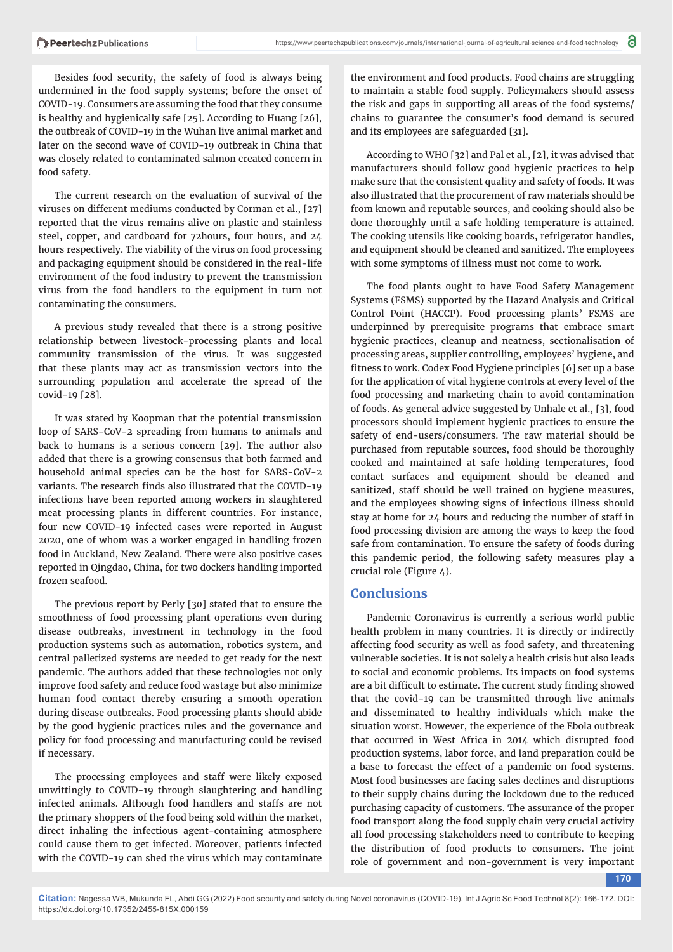Besides food security, the safety of food is always being undermined in the food supply systems; before the onset of COVID-19. Consumers are assuming the food that they consume is healthy and hygienically safe [25]. According to Huang [26], the outbreak of COVID-19 in the Wuhan live animal market and later on the second wave of COVID-19 outbreak in China that was closely related to contaminated salmon created concern in food safety.

The current research on the evaluation of survival of the viruses on different mediums conducted by Corman et al., [27] reported that the virus remains alive on plastic and stainless steel, copper, and cardboard for 72hours, four hours, and 24 hours respectively. The viability of the virus on food processing and packaging equipment should be considered in the real-life environment of the food industry to prevent the transmission virus from the food handlers to the equipment in turn not contaminating the consumers.

A previous study revealed that there is a strong positive relationship between livestock-processing plants and local community transmission of the virus. It was suggested that these plants may act as transmission vectors into the surrounding population and accelerate the spread of the covid-19 [28].

It was stated by Koopman that the potential transmission loop of SARS-CoV-2 spreading from humans to animals and back to humans is a serious concern [29]. The author also added that there is a growing consensus that both farmed and household animal species can be the host for SARS-CoV-2 variants. The research finds also illustrated that the COVID-19 infections have been reported among workers in slaughtered meat processing plants in different countries. For instance, four new COVID-19 infected cases were reported in August 2020, one of whom was a worker engaged in handling frozen food in Auckland, New Zealand. There were also positive cases reported in Qingdao, China, for two dockers handling imported frozen seafood.

The previous report by Perly [30] stated that to ensure the smoothness of food processing plant operations even during disease outbreaks, investment in technology in the food production systems such as automation, robotics system, and central palletized systems are needed to get ready for the next pandemic. The authors added that these technologies not only improve food safety and reduce food wastage but also minimize human food contact thereby ensuring a smooth operation during disease outbreaks. Food processing plants should abide by the good hygienic practices rules and the governance and policy for food processing and manufacturing could be revised if necessary.

The processing employees and staff were likely exposed unwittingly to COVID-19 through slaughtering and handling infected animals. Although food handlers and staffs are not the primary shoppers of the food being sold within the market, direct inhaling the infectious agent-containing atmosphere could cause them to get infected. Moreover, patients infected with the COVID-19 can shed the virus which may contaminate

the environment and food products. Food chains are struggling to maintain a stable food supply. Policymakers should assess the risk and gaps in supporting all areas of the food systems/ chains to guarantee the consumer's food demand is secured and its employees are safeguarded [31].

According to WHO [32] and Pal et al., [2], it was advised that manufacturers should follow good hygienic practices to help make sure that the consistent quality and safety of foods. It was also illustrated that the procurement of raw materials should be from known and reputable sources, and cooking should also be done thoroughly until a safe holding temperature is attained. The cooking utensils like cooking boards, refrigerator handles, and equipment should be cleaned and sanitized. The employees with some symptoms of illness must not come to work.

The food plants ought to have Food Safety Management Systems (FSMS) supported by the Hazard Analysis and Critical Control Point (HACCP). Food processing plants' FSMS are underpinned by prerequisite programs that embrace smart hygienic practices, cleanup and neatness, sectionalisation of processing areas, supplier controlling, employees' hygiene, and fitness to work. Codex Food Hygiene principles [6] set up a base for the application of vital hygiene controls at every level of the food processing and marketing chain to avoid contamination of foods. As general advice suggested by Unhale et al., [3], food processors should implement hygienic practices to ensure the safety of end-users/consumers. The raw material should be purchased from reputable sources, food should be thoroughly cooked and maintained at safe holding temperatures, food contact surfaces and equipment should be cleaned and sanitized, staff should be well trained on hygiene measures, and the employees showing signs of infectious illness should stay at home for 24 hours and reducing the number of staff in food processing division are among the ways to keep the food safe from contamination. To ensure the safety of foods during this pandemic period, the following safety measures play a crucial role (Figure  $\angle$ ).

### **Conclusions**

Pandemic Coronavirus is currently a serious world public health problem in many countries. It is directly or indirectly affecting food security as well as food safety, and threatening vulnerable societies. It is not solely a health crisis but also leads to social and economic problems. Its impacts on food systems are a bit difficult to estimate. The current study finding showed that the covid-19 can be transmitted through live animals and disseminated to healthy individuals which make the situation worst. However, the experience of the Ebola outbreak that occurred in West Africa in 2014 which disrupted food production systems, labor force, and land preparation could be a base to forecast the effect of a pandemic on food systems. Most food businesses are facing sales declines and disruptions to their supply chains during the lockdown due to the reduced purchasing capacity of customers. The assurance of the proper food transport along the food supply chain very crucial activity all food processing stakeholders need to contribute to keeping the distribution of food products to consumers. The joint role of government and non-government is very important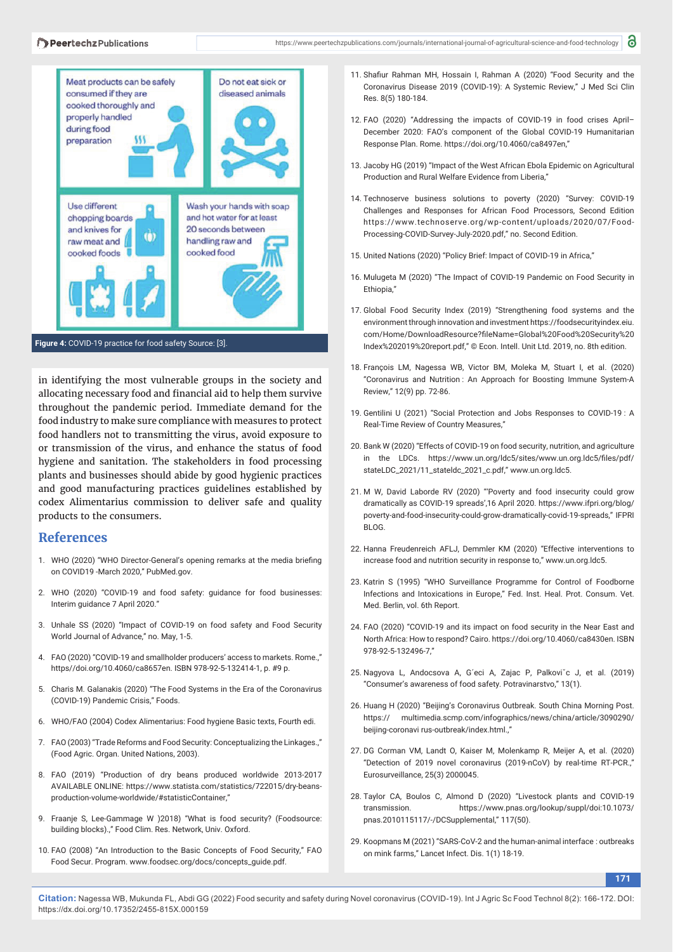

in identifying the most vulnerable groups in the society and allocating necessary food and financial aid to help them survive throughout the pandemic period. Immediate demand for the food industry to make sure compliance with measures to protect food handlers not to transmitting the virus, avoid exposure to or transmission of the virus, and enhance the status of food hygiene and sanitation. The stakeholders in food processing plants and businesses should abide by good hygienic practices and good manufacturing practices guidelines established by codex Alimentarius commission to deliver safe and quality products to the consumers.

## **References**

- 1. WHO (2020) "WHO Director-General's opening remarks at the media briefing on COVID19 -March 2020," PubMed.gov.
- 2. WHO (2020) "COVID-19 and food safety: guidance for food businesses: Interim guidance 7 April 2020."
- 3. Unhale SS (2020) "Impact of COVID-19 on food safety and Food Security World Journal of Advance," no. May, 1-5.
- 4. FAO (2020) "COVID-19 and smallholder producers' access to markets. Rome.," https//doi.org/10.4060/ca8657en. ISBN 978-92-5-132414-1, p. #9 p.
- 5. Charis M. Galanakis (2020) "The Food Systems in the Era of the Coronavirus (COVID-19) Pandemic Crisis," Foods.
- 6. WHO/FAO (2004) Codex Alimentarius: Food hygiene Basic texts, Fourth edi.
- 7. FAO (2003) "Trade Reforms and Food Security: Conceptualizing the Linkages.," (Food Agric. Organ. United Nations, 2003).
- 8. FAO (2019) "Production of dry beans produced worldwide 2013-2017 AVAILABLE ONLINE: https://www.statista.com/statistics/722015/dry-beansproduction-volume-worldwide/#statisticContainer,"
- 9. Fraanje S, Lee-Gammage W )2018) "What is food security? (Foodsource: building blocks).," Food Clim. Res. Network, Univ. Oxford.
- 10. FAO (2008) "An Introduction to the Basic Concepts of Food Security," FAO Food Secur. Program. www.foodsec.org/docs/concepts\_guide.pdf.
- 11. Shafiur Rahman MH, Hossain I, Rahman A (2020) "Food Security and the Coronavirus Disease 2019 (COVID-19): A Systemic Review," J Med Sci Clin Res. 8(5) 180-184.
- 12. FAO (2020) "Addressing the impacts of COVID-19 in food crises April– December 2020: FAO's component of the Global COVID-19 Humanitarian Response Plan. Rome. https://doi.org/10.4060/ca8497en,"
- 13. Jacoby HG (2019) "Impact of the West African Ebola Epidemic on Agricultural Production and Rural Welfare Evidence from Liberia,"
- 14. Technoserve business solutions to poverty (2020) "Survey: COVID-19 Challenges and Responses for African Food Processors, Second Edition https://www.technoserve.org/wp-content/uploads/2020/07/Food-Processing-COVID-Survey-July-2020.pdf," no. Second Edition.
- 15. United Nations (2020) "Policy Brief: Impact of COVID-19 in Africa,"
- 16. Mulugeta M (2020) "The Impact of COVID-19 Pandemic on Food Security in Ethiopia,"
- 17. Global Food Security Index (2019) "Strengthening food systems and the environment through innovation and investment https://foodsecurityindex.eiu. com/Home/DownloadResource?fi leName=Global%20Food%20Security%20 Index%202019%20report.pdf," © Econ. Intell. Unit Ltd. 2019, no. 8th edition.
- 18. François LM, Nagessa WB, Victor BM, Moleka M, Stuart I, et al. (2020) "Coronavirus and Nutrition : An Approach for Boosting Immune System-A Review," 12(9) pp. 72-86.
- 19. Gentilini U (2021) "Social Protection and Jobs Responses to COVID-19 : A Real-Time Review of Country Measures,"
- 20. Bank W (2020) "Effects of COVID-19 on food security, nutrition, and agriculture in the LDCs. https://www.un.org/ldc5/sites/www.un.org.ldc5/files/pdf/ stateLDC\_2021/11\_stateldc\_2021\_c.pdf," www.un.org.ldc5.
- 21. M W, David Laborde RV (2020) "'Poverty and food insecurity could grow dramatically as COVID-19 spreads',16 April 2020. https://www.ifpri.org/blog/ poverty-and-food-insecurity-could-grow-dramatically-covid-19-spreads," IFPRI BLOG.
- 22. Hanna Freudenreich AFLJ, Demmler KM (2020) "Effective interventions to increase food and nutrition security in response to," www.un.org.ldc5.
- 23. Katrin S (1995) "WHO Surveillance Programme for Control of Foodborne Infections and Intoxications in Europe," Fed. Inst. Heal. Prot. Consum. Vet. Med. Berlin, vol. 6th Report.
- 24. FAO (2020) "COVID-19 and its impact on food security in the Near East and North Africa: How to respond? Cairo. https://doi.org/10.4060/ca8430en. ISBN 978-92-5-132496-7"
- 25. Nagyova L, Andocsova A, G´eci A, Zajac P, Palkoviˇc J, et al. (2019) "Consumer's awareness of food safety. Potravinarstvo," 13(1).
- 26. Huang H (2020) "Beijing's Coronavirus Outbreak. South China Morning Post. https:// multimedia.scmp.com/infographics/news/china/article/3090290/ beijing-coronavi rus-outbreak/index.html.,"
- 27. DG Corman VM, Landt O, Kaiser M, Molenkamp R, Meijer A, et al. (2020) "Detection of 2019 novel coronavirus (2019-nCoV) by real-time RT-PCR.," Eurosurveillance, 25(3) 2000045.
- 28. Taylor CA, Boulos C, Almond D (2020) "Livestock plants and COVID-19 transmission. https://www.pnas.org/lookup/suppl/doi:10.1073/ pnas.2010115117/-/DCSupplemental," 117(50).
- 29. Koopmans M (2021) "SARS-CoV-2 and the human-animal interface : outbreaks on mink farms," Lancet Infect. Dis. 1(1) 18-19.

**171**

**Citation:** Nagessa WB, Mukunda FL, Abdi GG (2022) Food security and safety during Novel coronavirus (COVID-19). Int J Agric Sc Food Technol 8(2): 166-172. DOI: https://dx.doi.org/10.17352/2455-815X.000159